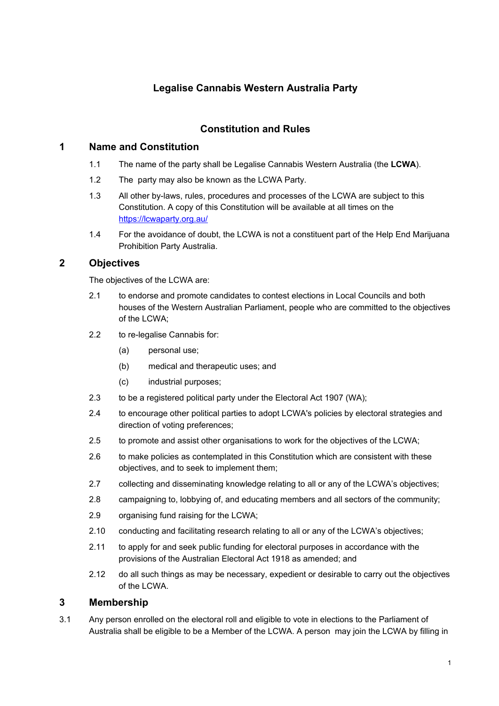# **Legalise Cannabis Western Australia Party**

## **Constitution and Rules**

### **1 Name and Constitution**

- 1.1 The name of the party shall be Legalise Cannabis Western Australia (the **LCWA**).
- 1.2 The party may also be known as the LCWA Party.
- 1.3 All other by-laws, rules, procedures and processes of the LCWA are subject to this Constitution. A copy of this Constitution will be available at all times on the <https://lcwaparty.org.au/>
- 1.4 For the avoidance of doubt, the LCWA is not a constituent part of the Help End Marijuana Prohibition Party Australia.

### **2 Objectives**

The objectives of the LCWA are:

- 2.1 to endorse and promote candidates to contest elections in Local Councils and both houses of the Western Australian Parliament, people who are committed to the objectives of the LCWA;
- 2.2 to re-legalise Cannabis for:
	- (a) personal use;
	- (b) medical and therapeutic uses; and
	- (c) industrial purposes;
- 2.3 to be a registered political party under the Electoral Act 1907 (WA);
- 2.4 to encourage other political parties to adopt LCWA's policies by electoral strategies and direction of voting preferences;
- 2.5 to promote and assist other organisations to work for the objectives of the LCWA;
- 2.6 to make policies as contemplated in this Constitution which are consistent with these objectives, and to seek to implement them;
- 2.7 collecting and disseminating knowledge relating to all or any of the LCWA's objectives:
- 2.8 campaigning to, lobbying of, and educating members and all sectors of the community;
- 2.9 organising fund raising for the LCWA;
- 2.10 conducting and facilitating research relating to all or any of the LCWA's objectives;
- 2.11 to apply for and seek public funding for electoral purposes in accordance with the provisions of the Australian Electoral Act 1918 as amended; and
- 2.12 do all such things as may be necessary, expedient or desirable to carry out the objectives of the LCWA.

### **3 Membership**

3.1 Any person enrolled on the electoral roll and eligible to vote in elections to the Parliament of Australia shall be eligible to be a Member of the LCWA. A person may join the LCWA by filling in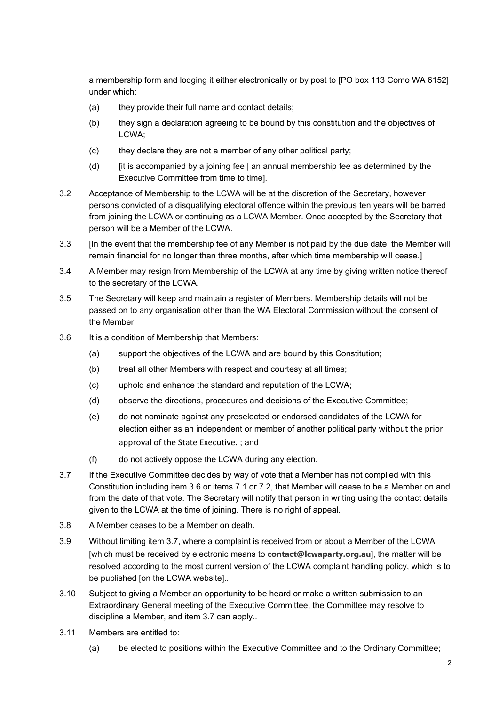a membership form and lodging it either electronically or by post to [PO box 113 Como WA 6152] under which:

- (a) they provide their full name and contact details;
- (b) they sign a declaration agreeing to be bound by this constitution and the objectives of LCWA;
- (c) they declare they are not a member of any other political party;
- (d)  $\quad$  [it is accompanied by a joining fee | an annual membership fee as determined by the Executive Committee from time to time].
- 3.2 Acceptance of Membership to the LCWA will be at the discretion of the Secretary, however persons convicted of a disqualifying electoral offence within the previous ten years will be barred from joining the LCWA or continuing as a LCWA Member. Once accepted by the Secretary that person will be a Member of the LCWA.
- 3.3 [In the event that the membership fee of any Member is not paid by the due date, the Member will remain financial for no longer than three months, after which time membership will cease.]
- 3.4 A Member may resign from Membership of the LCWA at any time by giving written notice thereof to the secretary of the LCWA.
- 3.5 The Secretary will keep and maintain a register of Members. Membership details will not be passed on to any organisation other than the WA Electoral Commission without the consent of the Member.
- 3.6 It is a condition of Membership that Members:
	- (a) support the objectives of the LCWA and are bound by this Constitution;
	- (b) treat all other Members with respect and courtesy at all times;
	- (c) uphold and enhance the standard and reputation of the LCWA;
	- (d) observe the directions, procedures and decisions of the Executive Committee;
	- (e) do not nominate against any preselected or endorsed candidates of the LCWA for election either as an independent or member of another political party without the prior approval of the State Executive. ; and
	- (f) do not actively oppose the LCWA during any election.
- 3.7 If the Executive Committee decides by way of vote that a Member has not complied with this Constitution including item 3.6 or items 7.1 or 7.2, that Member will cease to be a Member on and from the date of that vote. The Secretary will notify that person in writing using the contact details given to the LCWA at the time of joining. There is no right of appeal.
- 3.8 A Member ceases to be a Member on death.
- 3.9 Without limiting item 3.7, where a complaint is received from or about a Member of the LCWA [which must be received by electronic means to **[contact@lcwaparty.org.au](mailto:contact@lcwaparty.org.au)**], the matter will be resolved according to the most current version of the LCWA complaint handling policy, which is to be published [on the LCWA website]..
- 3.10 Subject to giving a Member an opportunity to be heard or make a written submission to an Extraordinary General meeting of the Executive Committee, the Committee may resolve to discipline a Member, and item 3.7 can apply..
- 3.11 Members are entitled to:
	- (a) be elected to positions within the Executive Committee and to the Ordinary Committee;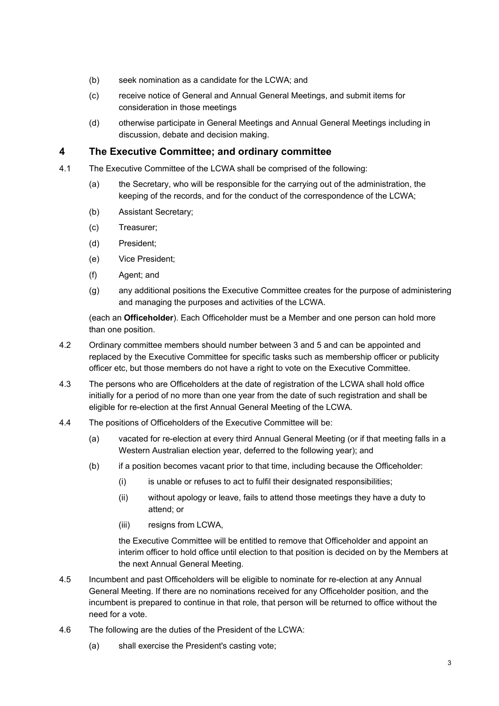- (b) seek nomination as a candidate for the LCWA; and
- (c) receive notice of General and Annual General Meetings, and submit items for consideration in those meetings
- (d) otherwise participate in General Meetings and Annual General Meetings including in discussion, debate and decision making.

### **4 The Executive Committee; and ordinary committee**

- 4.1 The Executive Committee of the LCWA shall be comprised of the following:
	- (a) the Secretary, who will be responsible for the carrying out of the administration, the keeping of the records, and for the conduct of the correspondence of the LCWA;
	- (b) Assistant Secretary;
	- (c) Treasurer;
	- (d) President;
	- (e) Vice President;
	- (f) Agent; and
	- (g) any additional positions the Executive Committee creates for the purpose of administering and managing the purposes and activities of the LCWA.

(each an **Officeholder**). Each Officeholder must be a Member and one person can hold more than one position.

- 4.2 Ordinary committee members should number between 3 and 5 and can be appointed and replaced by the Executive Committee for specific tasks such as membership officer or publicity officer etc, but those members do not have a right to vote on the Executive Committee.
- 4.3 The persons who are Officeholders at the date of registration of the LCWA shall hold office initially for a period of no more than one year from the date of such registration and shall be eligible for re-election at the first Annual General Meeting of the LCWA.
- 4.4 The positions of Officeholders of the Executive Committee will be:
	- (a) vacated for re-election at every third Annual General Meeting (or if that meeting falls in a Western Australian election year, deferred to the following year); and
	- (b) if a position becomes vacant prior to that time, including because the Officeholder:
		- (i) is unable or refuses to act to fulfil their designated responsibilities;
		- (ii) without apology or leave, fails to attend those meetings they have a duty to attend; or
		- (iii) resigns from LCWA,

the Executive Committee will be entitled to remove that Officeholder and appoint an interim officer to hold office until election to that position is decided on by the Members at the next Annual General Meeting.

- 4.5 Incumbent and past Officeholders will be eligible to nominate for re-election at any Annual General Meeting. If there are no nominations received for any Officeholder position, and the incumbent is prepared to continue in that role, that person will be returned to office without the need for a vote.
- 4.6 The following are the duties of the President of the LCWA:
	- (a) shall exercise the President's casting vote;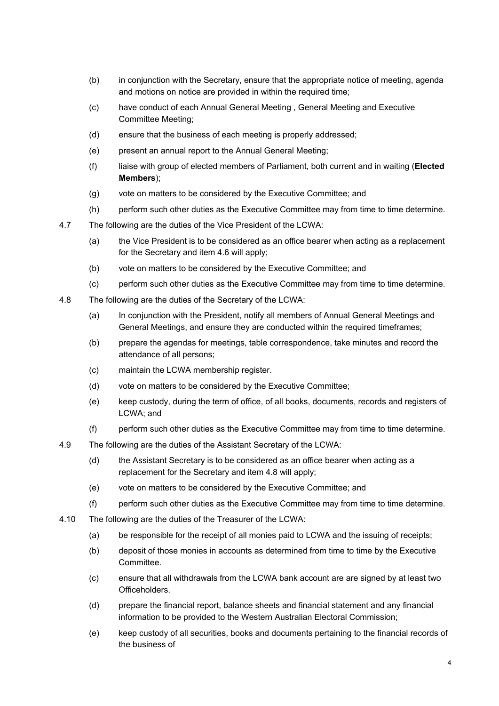- (b) in conjunction with the Secretary, ensure that the appropriate notice of meeting, agenda and motions on notice are provided in within the required time;
- (c) have conduct of each Annual General Meeting , General Meeting and Executive Committee Meeting;
- (d) ensure that the business of each meeting is properly addressed;
- (e) present an annual report to the Annual General Meeting;
- (f) liaise with group of elected members of Parliament, both current and in waiting (**Elected Members**);
- (g) vote on matters to be considered by the Executive Committee; and
- (h) perform such other duties as the Executive Committee may from time to time determine.
- 4.7 The following are the duties of the Vice President of the LCWA:
	- (a) the Vice President is to be considered as an office bearer when acting as a replacement for the Secretary and item 4.6 will apply;
	- (b) vote on matters to be considered by the Executive Committee; and
	- (c) perform such other duties as the Executive Committee may from time to time determine.
- 4.8 The following are the duties of the Secretary of the LCWA:
	- (a) In conjunction with the President, notify all members of Annual General Meetings and General Meetings, and ensure they are conducted within the required timeframes;
	- (b) prepare the agendas for meetings, table correspondence, take minutes and record the attendance of all persons;
	- (c) maintain the LCWA membership register.
	- (d) vote on matters to be considered by the Executive Committee;
	- (e) keep custody, during the term of office, of all books, documents, records and registers of LCWA; and
	- (f) perform such other duties as the Executive Committee may from time to time determine.
- 4.9 The following are the duties of the Assistant Secretary of the LCWA:
	- (d) the Assistant Secretary is to be considered as an office bearer when acting as a replacement for the Secretary and item 4.8 will apply;
	- (e) vote on matters to be considered by the Executive Committee; and
	- (f) perform such other duties as the Executive Committee may from time to time determine.
- 4.10 The following are the duties of the Treasurer of the LCWA:
	- (a) be responsible for the receipt of all monies paid to LCWA and the issuing of receipts;
	- (b) deposit of those monies in accounts as determined from time to time by the Executive Committee.
	- (c) ensure that all withdrawals from the LCWA bank account are are signed by at least two Officeholders.
	- (d) prepare the financial report, balance sheets and financial statement and any financial information to be provided to the Western Australian Electoral Commission;
	- (e) keep custody of all securities, books and documents pertaining to the financial records of the business of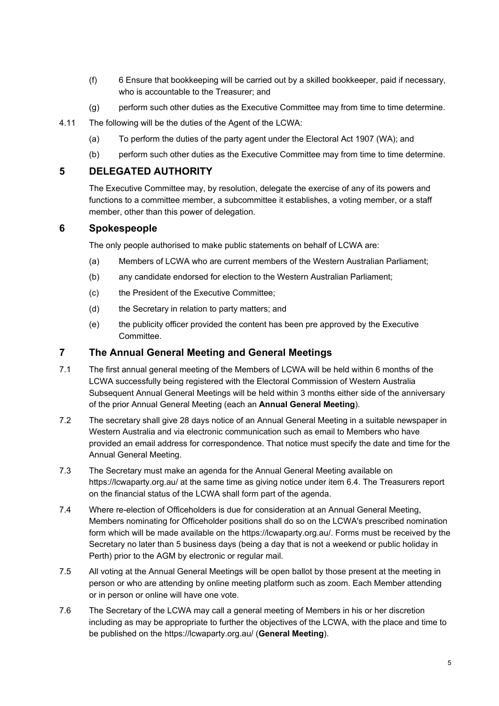- (f) 6 Ensure that bookkeeping will be carried out by a skilled bookkeeper, paid if necessary, who is accountable to the Treasurer; and
- (g) perform such other duties as the Executive Committee may from time to time determine.
- 4.11 The following will be the duties of the Agent of the LCWA:
	- (a) To perform the duties of the party agent under the Electoral Act 1907 (WA); and
	- (b) perform such other duties as the Executive Committee may from time to time determine.

### **5 DELEGATED AUTHORITY**

The Executive Committee may, by resolution, delegate the exercise of any of its powers and functions to a committee member, a subcommittee it establishes, a voting member, or a staff member, other than this power of delegation.

### **6 Spokespeople**

The only people authorised to make public statements on behalf of LCWA are:

- (a) Members of LCWA who are current members of the Western Australian Parliament;
- (b) any candidate endorsed for election to the Western Australian Parliament;
- (c) the President of the Executive Committee;
- (d) the Secretary in relation to party matters; and
- (e) the publicity officer provided the content has been pre approved by the Executive Committee.

### **7 The Annual General Meeting and General Meetings**

- 7.1 The first annual general meeting of the Members of LCWA will be held within 6 months of the LCWA successfully being registered with the Electoral Commission of Western Australia Subsequent Annual General Meetings will be held within 3 months either side of the anniversary of the prior Annual General Meeting (each an **Annual General Meeting**).
- 7.2 The secretary shall give 28 days notice of an Annual General Meeting in a suitable newspaper in Western Australia and via electronic communication such as email to Members who have provided an email address for correspondence. That notice must specify the date and time for the Annual General Meeting.
- 7.3 The Secretary must make an agenda for the Annual General Meeting available on https://lcwaparty.org.au/ at the same time as giving notice under item 6.4. The Treasurers report on the financial status of the LCWA shall form part of the agenda.
- 7.4 Where re-election of Officeholders is due for consideration at an Annual General Meeting, Members nominating for Officeholder positions shall do so on the LCWA's prescribed nomination form which will be made available on the https://lcwaparty.org.au/. Forms must be received by the Secretary no later than 5 business days (being a day that is not a weekend or public holiday in Perth) prior to the AGM by electronic or regular mail.
- 7.5 All voting at the Annual General Meetings will be open ballot by those present at the meeting in person or who are attending by online meeting platform such as zoom. Each Member attending or in person or online will have one vote.
- 7.6 The Secretary of the LCWA may call a general meeting of Members in his or her discretion including as may be appropriate to further the objectives of the LCWA, with the place and time to be published on the https://lcwaparty.org.au/ (**General Meeting**).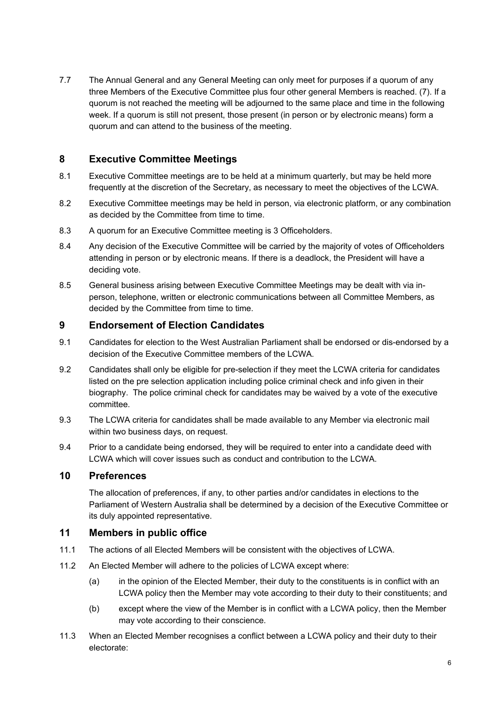7.7 The Annual General and any General Meeting can only meet for purposes if a quorum of any three Members of the Executive Committee plus four other general Members is reached. (7). If a quorum is not reached the meeting will be adjourned to the same place and time in the following week. If a quorum is still not present, those present (in person or by electronic means) form a quorum and can attend to the business of the meeting.

### **8 Executive Committee Meetings**

- 8.1 Executive Committee meetings are to be held at a minimum quarterly, but may be held more frequently at the discretion of the Secretary, as necessary to meet the objectives of the LCWA.
- 8.2 Executive Committee meetings may be held in person, via electronic platform, or any combination as decided by the Committee from time to time.
- 8.3 A quorum for an Executive Committee meeting is 3 Officeholders.
- 8.4 Any decision of the Executive Committee will be carried by the majority of votes of Officeholders attending in person or by electronic means. If there is a deadlock, the President will have a deciding vote.
- 8.5 General business arising between Executive Committee Meetings may be dealt with via inperson, telephone, written or electronic communications between all Committee Members, as decided by the Committee from time to time.

### **9 Endorsement of Election Candidates**

- 9.1 Candidates for election to the West Australian Parliament shall be endorsed or dis-endorsed by a decision of the Executive Committee members of the LCWA.
- 9.2 Candidates shall only be eligible for pre-selection if they meet the LCWA criteria for candidates listed on the pre selection application including police criminal check and info given in their biography. The police criminal check for candidates may be waived by a vote of the executive committee.
- 9.3 The LCWA criteria for candidates shall be made available to any Member via electronic mail within two business days, on request.
- 9.4 Prior to a candidate being endorsed, they will be required to enter into a candidate deed with LCWA which will cover issues such as conduct and contribution to the LCWA.

### **10 Preferences**

The allocation of preferences, if any, to other parties and/or candidates in elections to the Parliament of Western Australia shall be determined by a decision of the Executive Committee or its duly appointed representative.

### **11 Members in public office**

- 11.1 The actions of all Elected Members will be consistent with the objectives of LCWA.
- 11.2 An Elected Member will adhere to the policies of LCWA except where:
	- (a) in the opinion of the Elected Member, their duty to the constituents is in conflict with an LCWA policy then the Member may vote according to their duty to their constituents; and
	- (b) except where the view of the Member is in conflict with a LCWA policy, then the Member may vote according to their conscience.
- 11.3 When an Elected Member recognises a conflict between a LCWA policy and their duty to their electorate: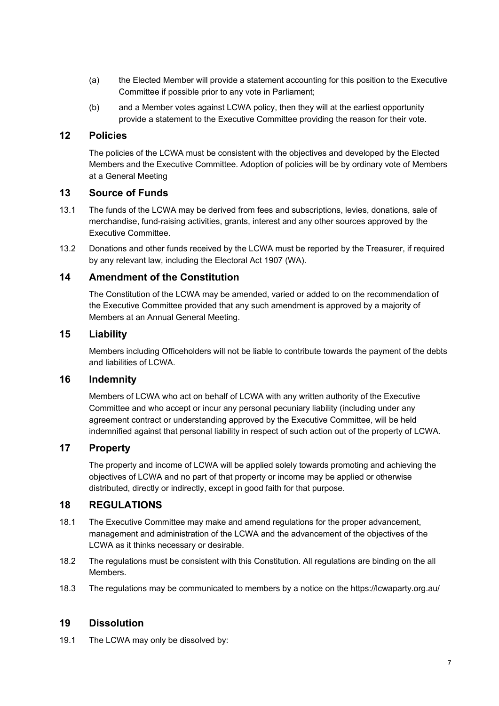- (a) the Elected Member will provide a statement accounting for this position to the Executive Committee if possible prior to any vote in Parliament;
- (b) and a Member votes against LCWA policy, then they will at the earliest opportunity provide a statement to the Executive Committee providing the reason for their vote.

### **12 Policies**

The policies of the LCWA must be consistent with the objectives and developed by the Elected Members and the Executive Committee. Adoption of policies will be by ordinary vote of Members at a General Meeting

### **13 Source of Funds**

- 13.1 The funds of the LCWA may be derived from fees and subscriptions, levies, donations, sale of merchandise, fund-raising activities, grants, interest and any other sources approved by the Executive Committee.
- 13.2 Donations and other funds received by the LCWA must be reported by the Treasurer, if required by any relevant law, including the Electoral Act 1907 (WA).

### **14 Amendment of the Constitution**

The Constitution of the LCWA may be amended, varied or added to on the recommendation of the Executive Committee provided that any such amendment is approved by a majority of Members at an Annual General Meeting.

### **15 Liability**

Members including Officeholders will not be liable to contribute towards the payment of the debts and liabilities of LCWA.

### **16 Indemnity**

Members of LCWA who act on behalf of LCWA with any written authority of the Executive Committee and who accept or incur any personal pecuniary liability (including under any agreement contract or understanding approved by the Executive Committee, will be held indemnified against that personal liability in respect of such action out of the property of LCWA.

### **17 Property**

The property and income of LCWA will be applied solely towards promoting and achieving the objectives of LCWA and no part of that property or income may be applied or otherwise distributed, directly or indirectly, except in good faith for that purpose.

### **18 REGULATIONS**

- 18.1 The Executive Committee may make and amend regulations for the proper advancement, management and administration of the LCWA and the advancement of the objectives of the LCWA as it thinks necessary or desirable.
- 18.2 The regulations must be consistent with this Constitution. All regulations are binding on the all Members.
- 18.3 The regulations may be communicated to members by a notice on the https://lcwaparty.org.au/

### **19 Dissolution**

19.1 The LCWA may only be dissolved by: